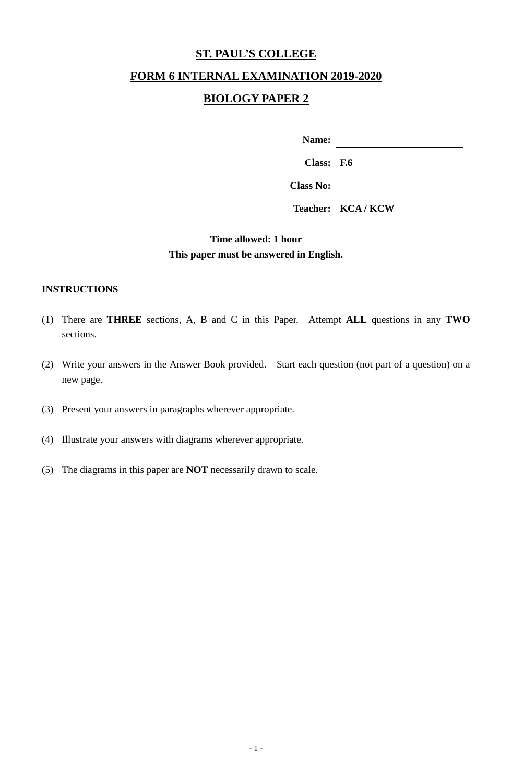# **ST. PAUL'S COLLEGE**

## **FORM 6 INTERNAL EXAMINATION 2019-2020**

# **BIOLOGY PAPER 2**

| Name: |  |
|-------|--|
|       |  |

**Class: F.6**

**Class No:**

**Teacher: KCA / KCW**

# **Time allowed: 1 hour This paper must be answered in English.**

#### **INSTRUCTIONS**

- (1) There are **THREE** sections, A, B and C in this Paper. Attempt **ALL** questions in any **TWO** sections.
- (2) Write your answers in the Answer Book provided. Start each question (not part of a question) on a new page.
- (3) Present your answers in paragraphs wherever appropriate.
- (4) Illustrate your answers with diagrams wherever appropriate.
- (5) The diagrams in this paper are **NOT** necessarily drawn to scale.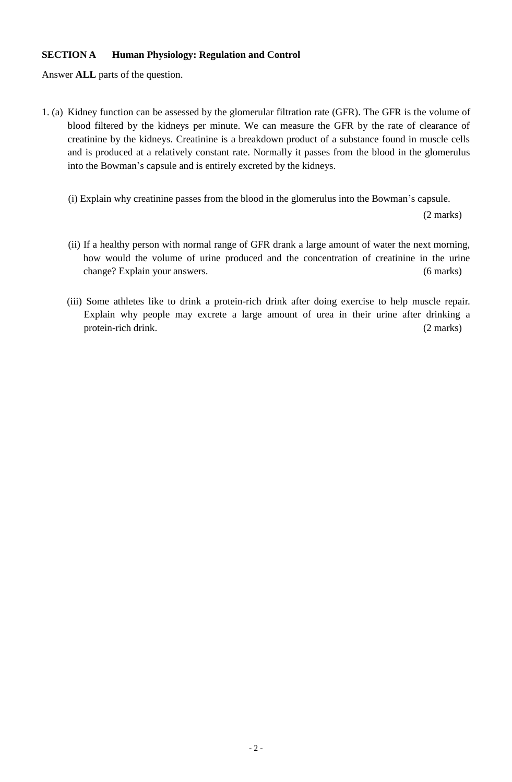#### **SECTION A Human Physiology: Regulation and Control**

Answer **ALL** parts of the question.

- 1. (a) Kidney function can be assessed by the glomerular filtration rate (GFR). The GFR is the volume of blood filtered by the kidneys per minute. We can measure the GFR by the rate of clearance of creatinine by the kidneys. Creatinine is a breakdown product of a substance found in muscle cells and is produced at a relatively constant rate. Normally it passes from the blood in the glomerulus into the Bowman's capsule and is entirely excreted by the kidneys.
	- (i) Explain why creatinine passes from the blood in the glomerulus into the Bowman's capsule.

(2 marks)

- (ii) If a healthy person with normal range of GFR drank a large amount of water the next morning, how would the volume of urine produced and the concentration of creatinine in the urine change? Explain your answers. (6 marks)
- (iii) Some athletes like to drink a protein-rich drink after doing exercise to help muscle repair. Explain why people may excrete a large amount of urea in their urine after drinking a protein-rich drink. (2 marks)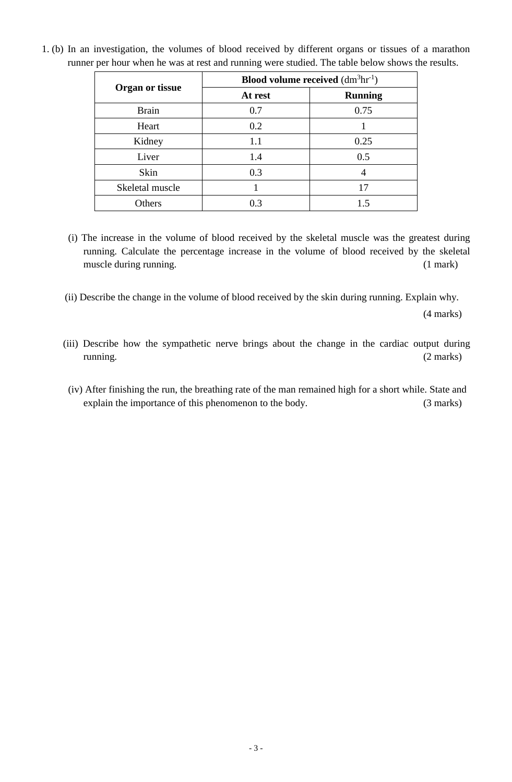| <b>Organ or tissue</b> | <b>Blood volume received</b> $(dm3hr-1)$ |                |  |
|------------------------|------------------------------------------|----------------|--|
|                        | At rest                                  | <b>Running</b> |  |
| <b>Brain</b>           | 0.7                                      | 0.75           |  |
| Heart                  | 0.2                                      |                |  |
| Kidney                 | 1.1                                      | 0.25           |  |
| Liver                  | 1.4                                      | 0.5            |  |
| Skin                   | 0.3                                      |                |  |
| Skeletal muscle        |                                          | 17             |  |
| Others                 | 0.3                                      | 1.5            |  |

1. (b) In an investigation, the volumes of blood received by different organs or tissues of a marathon runner per hour when he was at rest and running were studied. The table below shows the results.

- (i) The increase in the volume of blood received by the skeletal muscle was the greatest during running. Calculate the percentage increase in the volume of blood received by the skeletal muscle during running. (1 mark)
- (ii) Describe the change in the volume of blood received by the skin during running. Explain why.

(4 marks)

- (iii) Describe how the sympathetic nerve brings about the change in the cardiac output during running. (2 marks)
- (iv) After finishing the run, the breathing rate of the man remained high for a short while. State and explain the importance of this phenomenon to the body. (3 marks)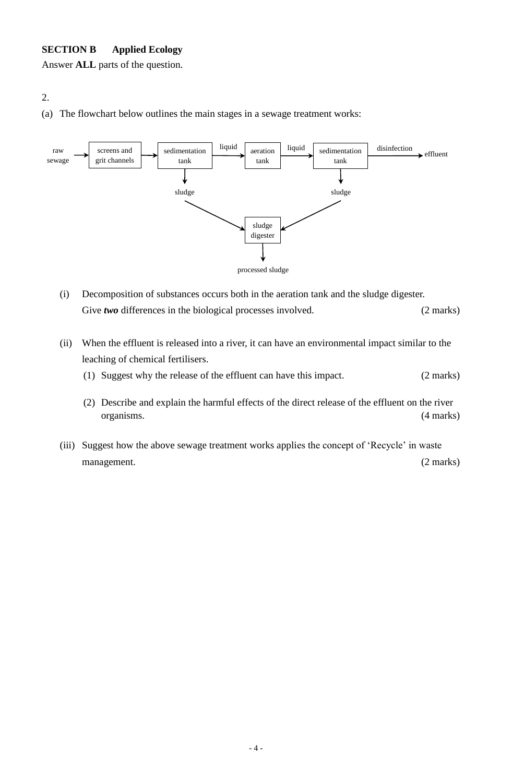#### **SECTION B Applied Ecology**

Answer **ALL** parts of the question.

# 2.

(a) The flowchart below outlines the main stages in a sewage treatment works:



- (i) Decomposition of substances occurs both in the aeration tank and the sludge digester. Give *two* differences in the biological processes involved. (2 marks)
- (ii) When the effluent is released into a river, it can have an environmental impact similar to the leaching of chemical fertilisers.
	- (1) Suggest why the release of the effluent can have this impact. (2 marks)
	- (2) Describe and explain the harmful effects of the direct release of the effluent on the river organisms. (4 marks)
- (iii) Suggest how the above sewage treatment works applies the concept of 'Recycle' in waste management. (2 marks)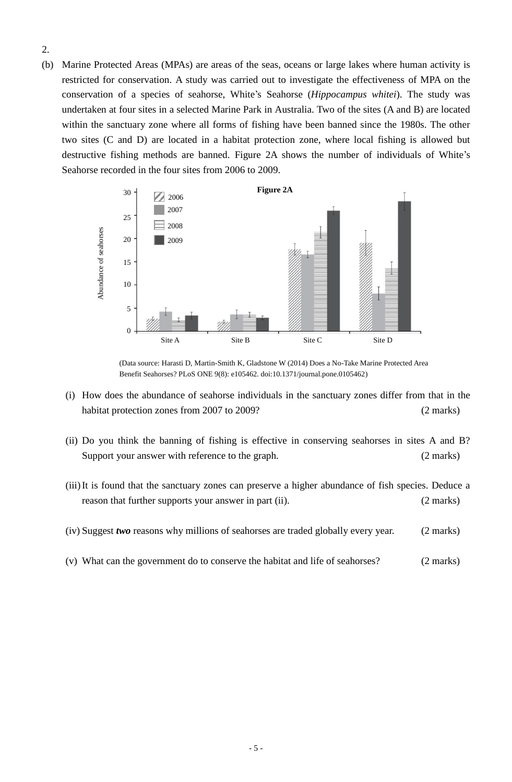- 2.
- (b) Marine Protected Areas (MPAs) are areas of the seas, oceans or large lakes where human activity is restricted for conservation. A study was carried out to investigate the effectiveness of MPA on the conservation of a species of seahorse, White's Seahorse (*Hippocampus whitei*). The study was undertaken at four sites in a selected Marine Park in Australia. Two of the sites (A and B) are located within the sanctuary zone where all forms of fishing have been banned since the 1980s. The other two sites (C and D) are located in a habitat protection zone, where local fishing is allowed but destructive fishing methods are banned. Figure 2A shows the number of individuals of White's Seahorse recorded in the four sites from 2006 to 2009.



(Data source: Harasti D, Martin-Smith K, Gladstone W (2014) Does a No-Take Marine Protected Area Benefit Seahorses? PLoS ONE 9(8): e105462. doi:10.1371/journal.pone.0105462)

- (i) How does the abundance of seahorse individuals in the sanctuary zones differ from that in the habitat protection zones from 2007 to 2009? (2 marks)
- (ii) Do you think the banning of fishing is effective in conserving seahorses in sites A and B? Support your answer with reference to the graph. (2 marks)
- (iii)It is found that the sanctuary zones can preserve a higher abundance of fish species. Deduce a reason that further supports your answer in part (ii). (2 marks)
- (iv) Suggest *two* reasons why millions of seahorses are traded globally every year. (2 marks)
- (v) What can the government do to conserve the habitat and life of seahorses? (2 marks)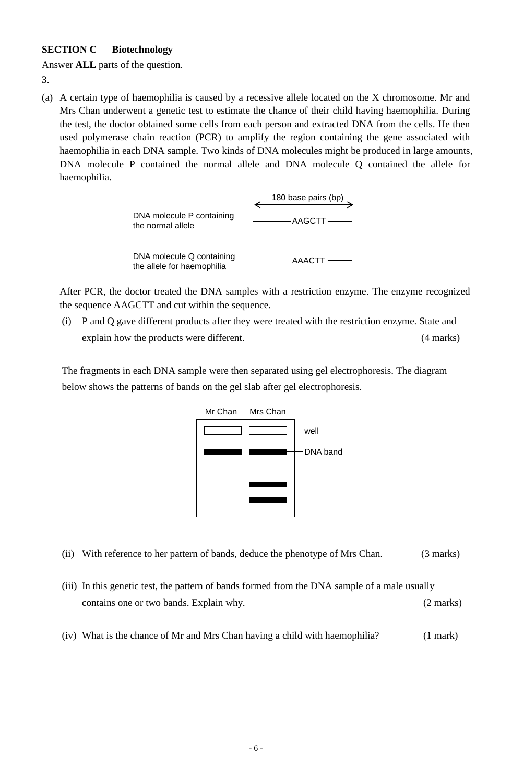#### **SECTION C Biotechnology**

Answer **ALL** parts of the question.

3.

(a) A certain type of haemophilia is caused by a recessive allele located on the X chromosome. Mr and Mrs Chan underwent a genetic test to estimate the chance of their child having haemophilia. During the test, the doctor obtained some cells from each person and extracted DNA from the cells. He then used polymerase chain reaction (PCR) to amplify the region containing the gene associated with haemophilia in each DNA sample. Two kinds of DNA molecules might be produced in large amounts, DNA molecule P contained the normal allele and DNA molecule Q contained the allele for haemophilia.



the allele for haemophilia

After PCR, the doctor treated the DNA samples with a restriction enzyme. The enzyme recognized the sequence AAGCTT and cut within the sequence.

(i) P and Q gave different products after they were treated with the restriction enzyme. State and explain how the products were different. (4 marks)

The fragments in each DNA sample were then separated using gel electrophoresis. The diagram below shows the patterns of bands on the gel slab after gel electrophoresis.



- (ii) With reference to her pattern of bands, deduce the phenotype of Mrs Chan. (3 marks)
- (iii) In this genetic test, the pattern of bands formed from the DNA sample of a male usually contains one or two bands. Explain why. (2 marks)
- (iv) What is the chance of Mr and Mrs Chan having a child with haemophilia? (1 mark)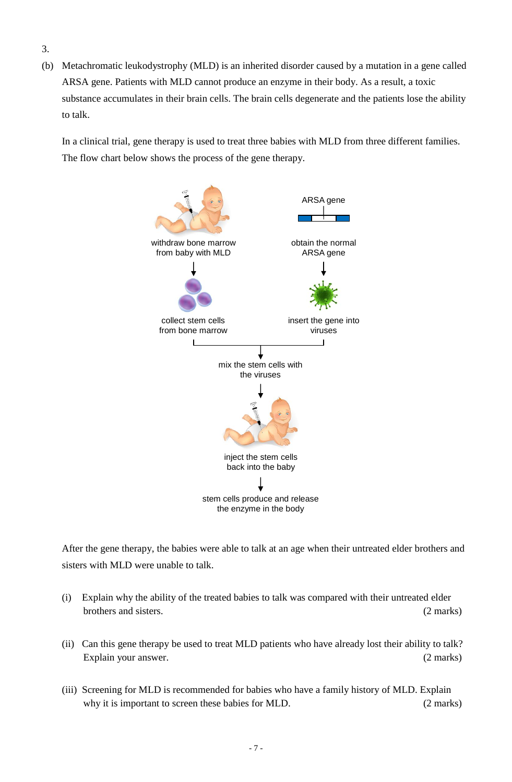- 3.
- (b) Metachromatic leukodystrophy (MLD) is an inherited disorder caused by a mutation in a gene called ARSA gene. Patients with MLD cannot produce an enzyme in their body. As a result, a toxic substance accumulates in their brain cells. The brain cells degenerate and the patients lose the ability to talk.

In a clinical trial, gene therapy is used to treat three babies with MLD from three different families. The flow chart below shows the process of the gene therapy.



After the gene therapy, the babies were able to talk at an age when their untreated elder brothers and sisters with MLD were unable to talk.

- (i) Explain why the ability of the treated babies to talk was compared with their untreated elder brothers and sisters. (2 marks)
- (ii) Can this gene therapy be used to treat MLD patients who have already lost their ability to talk? Explain your answer. (2 marks)
- (iii) Screening for MLD is recommended for babies who have a family history of MLD. Explain why it is important to screen these babies for MLD. (2 marks)